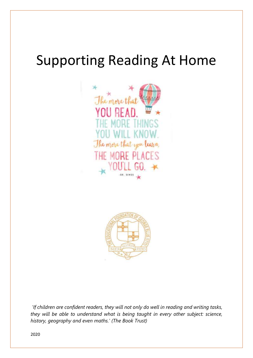# Supporting Reading At Home





*'If children are confident readers, they will not only do well in reading and writing tasks, they will be able to understand what is being taught in every other subject: science, history, geography and even maths.' (The Book Trust)*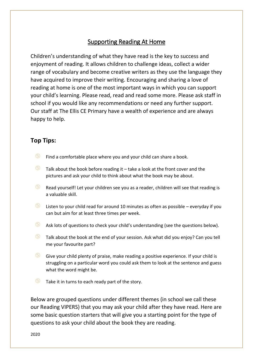# Supporting Reading At Home

Children's understanding of what they have read is the key to success and enjoyment of reading. It allows children to challenge ideas, collect a wider range of vocabulary and become creative writers as they use the language they have acquired to improve their writing. Encouraging and sharing a love of reading at home is one of the most important ways in which you can support your child's learning. Please read, read and read some more. Please ask staff in school if you would like any recommendations or need any further support. Our staff at The Ellis CE Primary have a wealth of experience and are always happy to help.

### **Top Tips:**

- œ Find a comfortable place where you and your child can share a book.
- $\Box$  Talk about the book before reading it take a look at the front cover and the pictures and ask your child to think about what the book may be about.
- $\circledcirc$ Read yourself! Let your children see you as a reader, children will see that reading is a valuable skill.
- **Listen to your child read for around 10 minutes as often as possible everyday if you** can but aim for at least three times per week.
- **Ask lots of questions to check your child's understanding (see the questions below).**
- $\left( \frac{1}{2} \right)$ Talk about the book at the end of your session. Ask what did you enjoy? Can you tell me your favourite part?
- $\left( \frac{1}{2} \right)$ Give your child plenty of praise, make reading a positive experience. If your child is struggling on a particular word you could ask them to look at the sentence and guess what the word might be.
- $\bullet$  Take it in turns to each ready part of the story.

Below are grouped questions under different themes (in school we call these our Reading VIPERS) that you may ask your child after they have read. Here are some basic question starters that will give you a starting point for the type of questions to ask your child about the book they are reading.

2020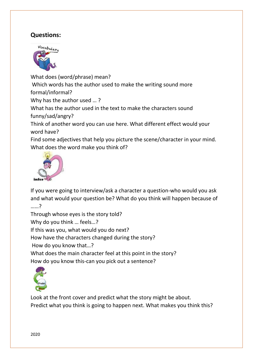## **Questions:**



What does (word/phrase) mean? Which words has the author used to make the writing sound more formal/informal? Why has the author used … ? What has the author used in the text to make the characters sound funny/sad/angry? Think of another word you can use here. What different effect would your word have? Find some adjectives that help you picture the scene/character in your mind. What does the word make you think of?



If you were going to interview/ask a character a question-who would you ask and what would your question be? What do you think will happen because of ……?

Through whose eyes is the story told?

Why do you think … feels…?

If this was you, what would you do next?

How have the characters changed during the story?

How do you know that…?

What does the main character feel at this point in the story? How do you know this-can you pick out a sentence?



Look at the front cover and predict what the story might be about. Predict what you think is going to happen next. What makes you think this?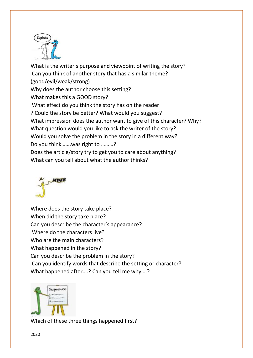

What is the writer's purpose and viewpoint of writing the story? Can you think of another story that has a similar theme? (good/evil/weak/strong) Why does the author choose this setting? What makes this a GOOD story? What effect do you think the story has on the reader ? Could the story be better? What would you suggest? What impression does the author want to give of this character? Why? What question would you like to ask the writer of the story? Would you solve the problem in the story in a different way? Do you think…….was right to ………? Does the article/story try to get you to care about anything? What can you tell about what the author thinks?



Where does the story take place? When did the story take place? Can you describe the character's appearance? Where do the characters live? Who are the main characters? What happened in the story? Can you describe the problem in the story? Can you identify words that describe the setting or character? What happened after….? Can you tell me why….?



Which of these three things happened first?